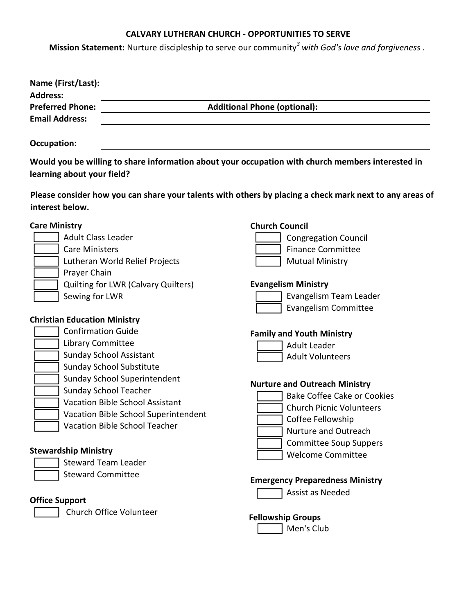# **CALVARY LUTHERAN CHURCH - OPPORTUNITIES TO SERVE**

**Mission Statement:** Nurture discipleship to serve our community*<sup>3</sup> with God's love and forgiveness* .

| Name (First/Last):                                                                                                                                                                                                                                      |                                                                                                                                                 |                                                                                                                                                                                                                                                                                                               |  |
|---------------------------------------------------------------------------------------------------------------------------------------------------------------------------------------------------------------------------------------------------------|-------------------------------------------------------------------------------------------------------------------------------------------------|---------------------------------------------------------------------------------------------------------------------------------------------------------------------------------------------------------------------------------------------------------------------------------------------------------------|--|
| <b>Address:</b><br><b>Preferred Phone:</b><br><b>Email Address:</b>                                                                                                                                                                                     | <b>Additional Phone (optional):</b>                                                                                                             |                                                                                                                                                                                                                                                                                                               |  |
| <b>Occupation:</b>                                                                                                                                                                                                                                      |                                                                                                                                                 |                                                                                                                                                                                                                                                                                                               |  |
| learning about your field?                                                                                                                                                                                                                              |                                                                                                                                                 | Would you be willing to share information about your occupation with church members interested in                                                                                                                                                                                                             |  |
| interest below.                                                                                                                                                                                                                                         |                                                                                                                                                 | Please consider how you can share your talents with others by placing a check mark next to any areas of                                                                                                                                                                                                       |  |
| <b>Care Ministry</b><br><b>Adult Class Leader</b><br><b>Care Ministers</b>                                                                                                                                                                              | Lutheran World Relief Projects                                                                                                                  | <b>Church Council</b><br><b>Congregation Council</b><br><b>Finance Committee</b><br><b>Mutual Ministry</b>                                                                                                                                                                                                    |  |
| Prayer Chain<br>Sewing for LWR                                                                                                                                                                                                                          | <b>Quilting for LWR (Calvary Quilters)</b>                                                                                                      | <b>Evangelism Ministry</b><br>Evangelism Team Leader<br><b>Evangelism Committee</b>                                                                                                                                                                                                                           |  |
| <b>Christian Education Ministry</b><br><b>Confirmation Guide</b><br>Library Committee<br><b>Sunday School Assistant</b><br><b>Sunday School Substitute</b><br><b>Sunday School Teacher</b><br><b>Stewardship Ministry</b><br><b>Steward Team Leader</b> | Sunday School Superintendent<br><b>Vacation Bible School Assistant</b><br>Vacation Bible School Superintendent<br>Vacation Bible School Teacher | <b>Family and Youth Ministry</b><br><b>Adult Leader</b><br><b>Adult Volunteers</b><br><b>Nurture and Outreach Ministry</b><br><b>Bake Coffee Cake or Cookies</b><br><b>Church Picnic Volunteers</b><br>Coffee Fellowship<br>Nurture and Outreach<br><b>Committee Soup Suppers</b><br><b>Welcome Committee</b> |  |
| <b>Steward Committee</b><br><b>Office Support</b><br>Church Office Volunteer                                                                                                                                                                            |                                                                                                                                                 | <b>Emergency Preparedness Ministry</b><br>Assist as Needed<br><b>Egllowship Groups</b>                                                                                                                                                                                                                        |  |

**Fellowship Groups**

Men's Club